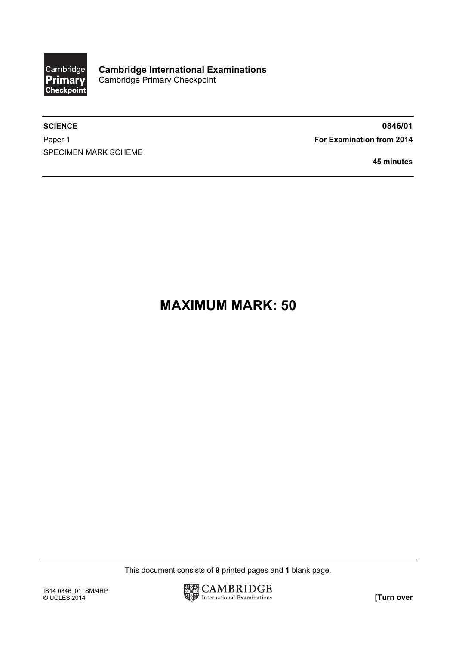

SPECIMEN MARK SCHEME

SCIENCE 80846/01 Paper 1 **For Examination from 2014** 

45 minutes

## MAXIMUM MARK: 50

This document consists of 9 printed pages and 1 blank page.

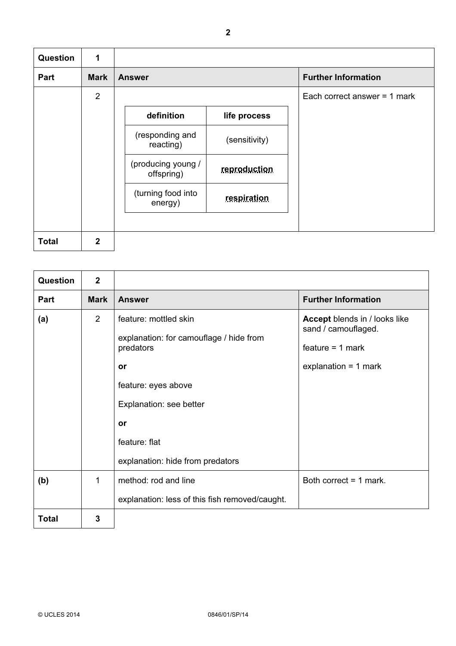| <b>Question</b> | $\mathbf 1$    |                                  |               |                                |
|-----------------|----------------|----------------------------------|---------------|--------------------------------|
| Part            | <b>Mark</b>    | <b>Answer</b>                    |               | <b>Further Information</b>     |
|                 | 2              |                                  |               | Each correct answer $=$ 1 mark |
|                 |                | definition                       | life process  |                                |
|                 |                | (responding and<br>reacting)     | (sensitivity) |                                |
|                 |                | (producing young /<br>offspring) | reproduction  |                                |
|                 |                | (turning food into<br>energy)    | respiration   |                                |
|                 |                |                                  |               |                                |
| <b>Total</b>    | $\overline{2}$ |                                  |               |                                |

| Question     | $\overline{2}$ |                                                                                                                                                                                                  |                                                                                                             |
|--------------|----------------|--------------------------------------------------------------------------------------------------------------------------------------------------------------------------------------------------|-------------------------------------------------------------------------------------------------------------|
| Part         | <b>Mark</b>    | <b>Answer</b>                                                                                                                                                                                    | <b>Further Information</b>                                                                                  |
| (a)          | 2              | feature: mottled skin<br>explanation: for camouflage / hide from<br>predators<br>or<br>feature: eyes above<br>Explanation: see better<br>or<br>feature: flat<br>explanation: hide from predators | <b>Accept</b> blends in / looks like<br>sand / camouflaged.<br>$feature = 1 mark$<br>explanation = $1$ mark |
| (b)          | 1              | method: rod and line<br>explanation: less of this fish removed/caught.                                                                                                                           | Both correct $=$ 1 mark.                                                                                    |
| <b>Total</b> | 3              |                                                                                                                                                                                                  |                                                                                                             |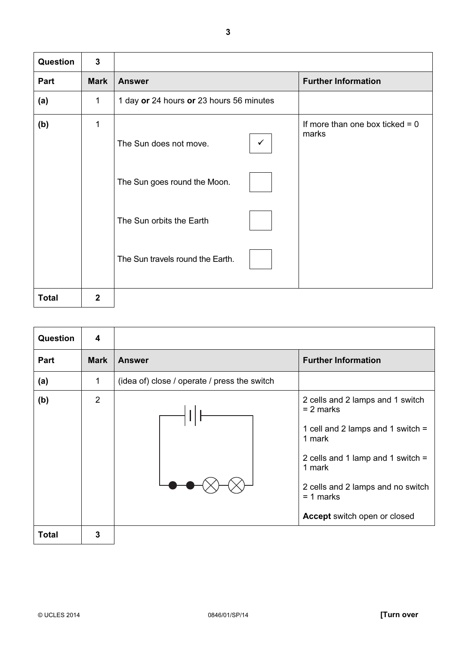| Question     | $\overline{3}$ |                                          |                                            |
|--------------|----------------|------------------------------------------|--------------------------------------------|
| Part         | <b>Mark</b>    | <b>Answer</b>                            | <b>Further Information</b>                 |
| (a)          | 1              | 1 day or 24 hours or 23 hours 56 minutes |                                            |
| (b)          | 1              | The Sun does not move.<br>$\checkmark$   | If more than one box ticked $= 0$<br>marks |
|              |                | The Sun goes round the Moon.             |                                            |
|              |                | The Sun orbits the Earth                 |                                            |
|              |                | The Sun travels round the Earth.         |                                            |
| <b>Total</b> | $\mathbf{2}$   |                                          |                                            |

| <b>Question</b> | 4              |                                              |                                                                                                                                                                                                                                              |
|-----------------|----------------|----------------------------------------------|----------------------------------------------------------------------------------------------------------------------------------------------------------------------------------------------------------------------------------------------|
| <b>Part</b>     | <b>Mark</b>    | <b>Answer</b>                                | <b>Further Information</b>                                                                                                                                                                                                                   |
| (a)             | 1              | (idea of) close / operate / press the switch |                                                                                                                                                                                                                                              |
| (b)             | $\overline{2}$ |                                              | 2 cells and 2 lamps and 1 switch<br>$= 2$ marks<br>1 cell and 2 lamps and 1 switch $=$<br>1 mark<br>2 cells and 1 lamp and 1 switch $=$<br>1 mark<br>2 cells and 2 lamps and no switch<br>$= 1$ marks<br><b>Accept switch open or closed</b> |
| <b>Total</b>    | 3              |                                              |                                                                                                                                                                                                                                              |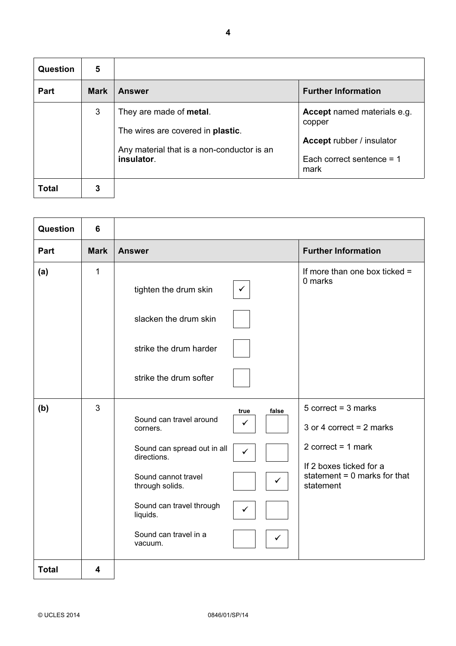| Question | 5           |                                                                                                                                  |                                                                                                                         |
|----------|-------------|----------------------------------------------------------------------------------------------------------------------------------|-------------------------------------------------------------------------------------------------------------------------|
| Part     | <b>Mark</b> | <b>Answer</b>                                                                                                                    | <b>Further Information</b>                                                                                              |
|          | 3           | They are made of metal.<br>The wires are covered in <b>plastic</b> .<br>Any material that is a non-conductor is an<br>insulator. | <b>Accept</b> named materials e.g.<br>copper<br><b>Accept rubber / insulator</b><br>Each correct sentence = $1$<br>mark |
| Total    | 3           |                                                                                                                                  |                                                                                                                         |

| Question     | 6           |                                                                                                                                                                                                                                                                                                          |                                                                                                                                                         |
|--------------|-------------|----------------------------------------------------------------------------------------------------------------------------------------------------------------------------------------------------------------------------------------------------------------------------------------------------------|---------------------------------------------------------------------------------------------------------------------------------------------------------|
| Part         | <b>Mark</b> | <b>Answer</b>                                                                                                                                                                                                                                                                                            | <b>Further Information</b>                                                                                                                              |
| (a)          | 1           | tighten the drum skin<br>✓<br>slacken the drum skin<br>strike the drum harder<br>strike the drum softer                                                                                                                                                                                                  | If more than one box ticked $=$<br>0 marks                                                                                                              |
| (b)          | 3           | false<br>true<br>Sound can travel around<br>$\checkmark$<br>corners.<br>Sound can spread out in all<br>$\checkmark$<br>directions.<br>Sound cannot travel<br>$\checkmark$<br>through solids.<br>Sound can travel through<br>$\checkmark$<br>liquids.<br>Sound can travel in a<br>$\checkmark$<br>vacuum. | $5$ correct = $3$ marks<br>3 or 4 correct = $2$ marks<br>2 correct = $1$ mark<br>If 2 boxes ticked for a<br>statement = $0$ marks for that<br>statement |
| <b>Total</b> | 4           |                                                                                                                                                                                                                                                                                                          |                                                                                                                                                         |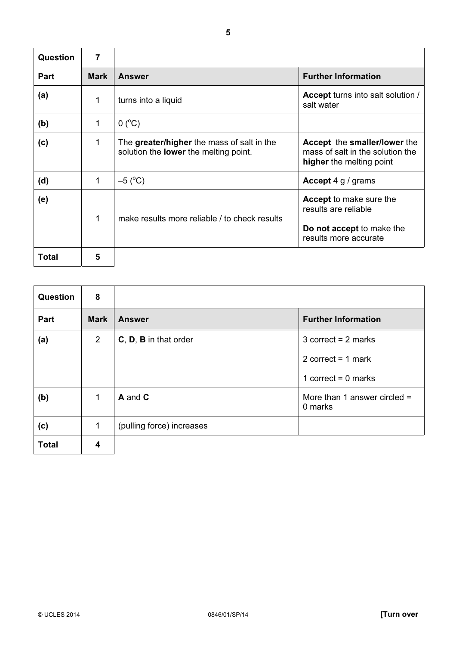| Question    | 7           |                                                                                            |                                                                                                              |
|-------------|-------------|--------------------------------------------------------------------------------------------|--------------------------------------------------------------------------------------------------------------|
| <b>Part</b> | <b>Mark</b> | <b>Answer</b>                                                                              | <b>Further Information</b>                                                                                   |
| (a)         | 1           | turns into a liquid                                                                        | Accept turns into salt solution /<br>salt water                                                              |
| (b)         | 1           | $0(^{\circ}C)$                                                                             |                                                                                                              |
| (c)         | 1           | The greater/higher the mass of salt in the<br>solution the <b>lower</b> the melting point. | Accept the smaller/lower the<br>mass of salt in the solution the<br>higher the melting point                 |
| (d)         | 1           | $-5$ (°C)                                                                                  | <b>Accept 4 g / grams</b>                                                                                    |
| (e)         | 1           | make results more reliable / to check results                                              | <b>Accept to make sure the</b><br>results are reliable<br>Do not accept to make the<br>results more accurate |
| Total       | 5           |                                                                                            |                                                                                                              |

| <b>Question</b> | 8              |                           |                                           |
|-----------------|----------------|---------------------------|-------------------------------------------|
| Part            | <b>Mark</b>    | <b>Answer</b>             | <b>Further Information</b>                |
| (a)             | $\overline{2}$ | C, D, B in that order     | $3$ correct = 2 marks                     |
|                 |                |                           | 2 correct = $1$ mark                      |
|                 |                |                           | 1 correct = $0$ marks                     |
| (b)             | 1              | A and C                   | More than 1 answer circled $=$<br>0 marks |
| (c)             | $\mathbf{1}$   | (pulling force) increases |                                           |
| <b>Total</b>    | 4              |                           |                                           |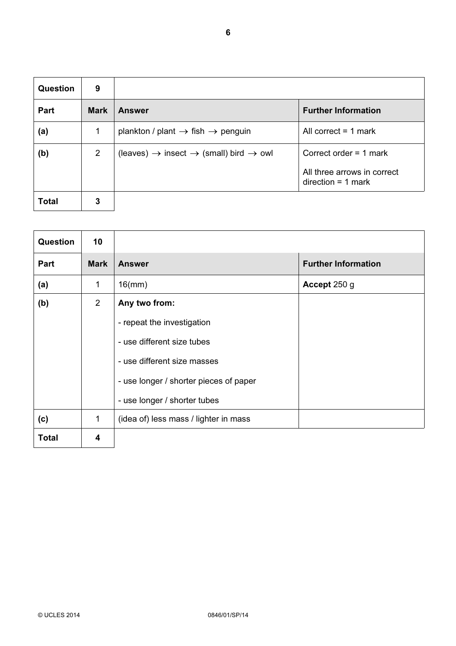| <b>Question</b> | 9              |                                                                        |                                                     |  |
|-----------------|----------------|------------------------------------------------------------------------|-----------------------------------------------------|--|
| Part            | <b>Mark</b>    | <b>Answer</b>                                                          | <b>Further Information</b>                          |  |
| (a)             | 1              | plankton / plant $\rightarrow$ fish $\rightarrow$ penguin              | All correct $=$ 1 mark                              |  |
| (b)             | $\overline{2}$ | $(leaves) \rightarrow insect \rightarrow (small) bird \rightarrow owl$ | Correct order $=$ 1 mark                            |  |
|                 |                |                                                                        | All three arrows in correct<br>$direction = 1 mark$ |  |
| <b>Total</b>    | 3              |                                                                        |                                                     |  |

| Question     | 10          |                                                                                                                                                                                    |                            |
|--------------|-------------|------------------------------------------------------------------------------------------------------------------------------------------------------------------------------------|----------------------------|
| Part         | <b>Mark</b> | <b>Answer</b>                                                                                                                                                                      | <b>Further Information</b> |
| (a)          | 1           | $16$ (mm)                                                                                                                                                                          | Accept 250 g               |
| (b)          | 2           | Any two from:<br>- repeat the investigation<br>- use different size tubes<br>- use different size masses<br>- use longer / shorter pieces of paper<br>- use longer / shorter tubes |                            |
| (c)          | 1           | (idea of) less mass / lighter in mass                                                                                                                                              |                            |
| <b>Total</b> | 4           |                                                                                                                                                                                    |                            |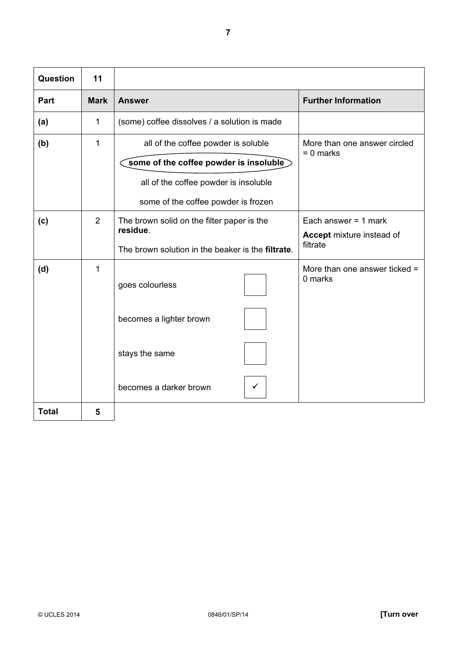| Question     | 11             |                                                           |                                             |
|--------------|----------------|-----------------------------------------------------------|---------------------------------------------|
| <b>Part</b>  | <b>Mark</b>    | <b>Answer</b>                                             | <b>Further Information</b>                  |
| (a)          | 1              | (some) coffee dissolves / a solution is made              |                                             |
| (b)          | 1              | all of the coffee powder is soluble                       | More than one answer circled<br>$= 0$ marks |
|              |                | some of the coffee powder is insoluble                    |                                             |
|              |                | all of the coffee powder is insoluble                     |                                             |
|              |                | some of the coffee powder is frozen                       |                                             |
| (c)          | $\overline{2}$ | The brown solid on the filter paper is the<br>residue.    | Each answer $= 1$ mark                      |
|              |                | The brown solution in the beaker is the <b>filtrate</b> . | Accept mixture instead of<br>filtrate       |
| (d)          | 1              | goes colourless                                           | More than one answer ticked =<br>0 marks    |
|              |                | becomes a lighter brown                                   |                                             |
|              |                | stays the same                                            |                                             |
|              |                | becomes a darker brown                                    |                                             |
| <b>Total</b> | 5              |                                                           |                                             |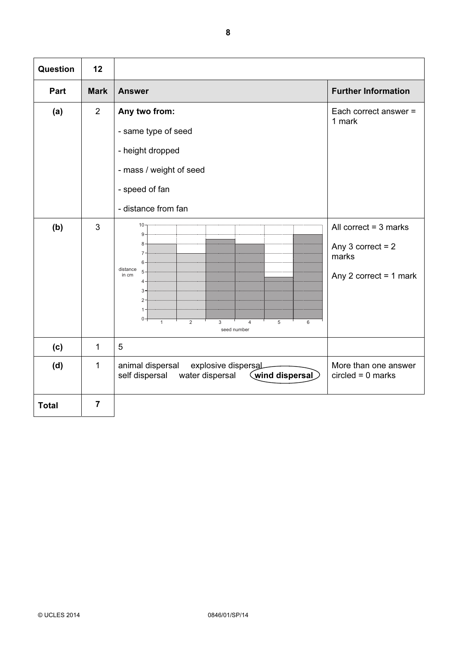| Question     | 12             |                                                                                                                                                                                                                  |                                                                                       |  |
|--------------|----------------|------------------------------------------------------------------------------------------------------------------------------------------------------------------------------------------------------------------|---------------------------------------------------------------------------------------|--|
| Part         | <b>Mark</b>    | <b>Answer</b>                                                                                                                                                                                                    | <b>Further Information</b>                                                            |  |
| (a)          | 2              | Any two from:<br>- same type of seed<br>- height dropped<br>- mass / weight of seed<br>- speed of fan<br>- distance from fan                                                                                     | Each correct answer =<br>1 mark                                                       |  |
| (b)          | 3              | 10 <sup>1</sup><br>$9 -$<br>$8 -$<br>$7 -$<br>$6 -$<br>distance<br>$5 -$<br>in cm<br>$4 -$<br>$3 -$<br>$2 -$<br>$1 -$<br>$0 +$<br>$\overline{2}$<br>$\mathbf{1}$<br>3<br>5<br>$\overline{4}$<br>6<br>seed number | All correct $=$ 3 marks<br>Any $3$ correct = $2$<br>marks<br>Any 2 correct = $1$ mark |  |
| (c)          | $\mathbf{1}$   | 5                                                                                                                                                                                                                |                                                                                       |  |
| (d)          | 1              | animal dispersal<br>explosive dispersal<br>More than one answer<br>wind dispersal<br>self dispersal<br>water dispersal<br>$circled = 0$ marks                                                                    |                                                                                       |  |
| <b>Total</b> | $\overline{7}$ |                                                                                                                                                                                                                  |                                                                                       |  |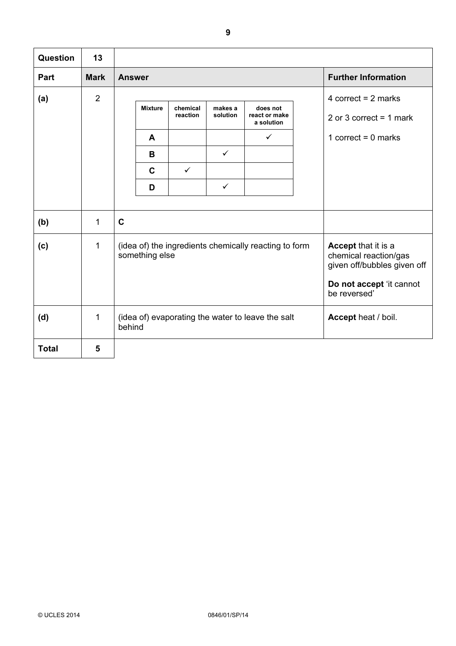| Question     | 13             |                                                                         |                                      |                                          |                                              |  |                                                                                                                         |
|--------------|----------------|-------------------------------------------------------------------------|--------------------------------------|------------------------------------------|----------------------------------------------|--|-------------------------------------------------------------------------------------------------------------------------|
| Part         | <b>Mark</b>    | <b>Answer</b>                                                           |                                      |                                          |                                              |  | <b>Further Information</b>                                                                                              |
| (a)          | $\overline{2}$ | <b>Mixture</b><br>A<br>B<br>$\mathbf C$<br>D                            | chemical<br>reaction<br>$\checkmark$ | makes a<br>solution<br>✓<br>$\checkmark$ | does not<br>react or make<br>a solution<br>✓ |  | 4 correct = $2$ marks<br>2 or 3 correct = $1$ mark<br>1 correct = $0$ marks                                             |
| (b)          | 1              | $\mathbf C$                                                             |                                      |                                          |                                              |  |                                                                                                                         |
| (c)          | 1              | (idea of) the ingredients chemically reacting to form<br>something else |                                      |                                          |                                              |  | Accept that it is a<br>chemical reaction/gas<br>given off/bubbles given off<br>Do not accept 'it cannot<br>be reversed' |
| (d)          | 1              | (idea of) evaporating the water to leave the salt<br>behind             |                                      |                                          |                                              |  | Accept heat / boil.                                                                                                     |
| <b>Total</b> | 5              |                                                                         |                                      |                                          |                                              |  |                                                                                                                         |